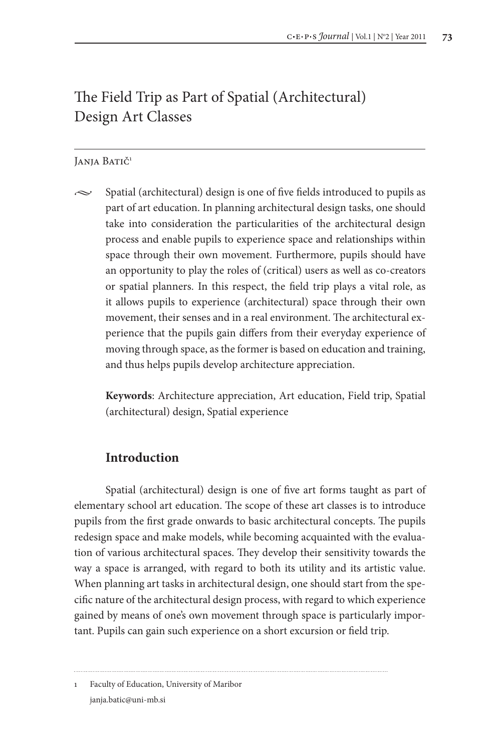# The Field Trip as Part of Spatial (Architectural) Design Art Classes

#### Janja Batič<sup>1</sup>

• Spatial (architectural) design is one of five fields introduced to pupils as part of art education. In planning architectural design tasks, one should take into consideration the particularities of the architectural design process and enable pupils to experience space and relationships within space through their own movement. Furthermore, pupils should have an opportunity to play the roles of (critical) users as well as co-creators or spatial planners. In this respect, the field trip plays a vital role, as it allows pupils to experience (architectural) space through their own movement, their senses and in a real environment. The architectural experience that the pupils gain differs from their everyday experience of moving through space, as the former is based on education and training, and thus helps pupils develop architecture appreciation.

**Keywords**: Architecture appreciation, Art education, Field trip, Spatial (architectural) design, Spatial experience

### **Introduction**

Spatial (architectural) design is one of five art forms taught as part of elementary school art education. The scope of these art classes is to introduce pupils from the first grade onwards to basic architectural concepts. The pupils redesign space and make models, while becoming acquainted with the evaluation of various architectural spaces. They develop their sensitivity towards the way a space is arranged, with regard to both its utility and its artistic value. When planning art tasks in architectural design, one should start from the specific nature of the architectural design process, with regard to which experience gained by means of one's own movement through space is particularly important. Pupils can gain such experience on a short excursion or field trip.

1 Faculty of Education, University of Maribor janja.batic@uni-mb.si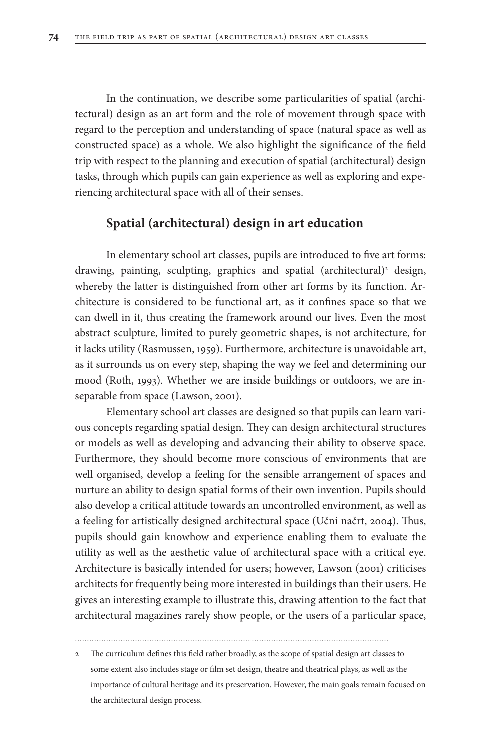In the continuation, we describe some particularities of spatial (architectural) design as an art form and the role of movement through space with regard to the perception and understanding of space (natural space as well as constructed space) as a whole. We also highlight the significance of the field trip with respect to the planning and execution of spatial (architectural) design tasks, through which pupils can gain experience as well as exploring and experiencing architectural space with all of their senses.

### **Spatial (architectural) design in art education**

In elementary school art classes, pupils are introduced to five art forms: drawing, painting, sculpting, graphics and spatial (architectural)<sup>2</sup> design, whereby the latter is distinguished from other art forms by its function. Architecture is considered to be functional art, as it confines space so that we can dwell in it, thus creating the framework around our lives. Even the most abstract sculpture, limited to purely geometric shapes, is not architecture, for it lacks utility (Rasmussen, 1959). Furthermore, architecture is unavoidable art, as it surrounds us on every step, shaping the way we feel and determining our mood (Roth, 1993). Whether we are inside buildings or outdoors, we are inseparable from space (Lawson, 2001).

Elementary school art classes are designed so that pupils can learn various concepts regarding spatial design. They can design architectural structures or models as well as developing and advancing their ability to observe space. Furthermore, they should become more conscious of environments that are well organised, develop a feeling for the sensible arrangement of spaces and nurture an ability to design spatial forms of their own invention. Pupils should also develop a critical attitude towards an uncontrolled environment, as well as a feeling for artistically designed architectural space (Učni načrt, 2004). Thus, pupils should gain knowhow and experience enabling them to evaluate the utility as well as the aesthetic value of architectural space with a critical eye. Architecture is basically intended for users; however, Lawson (2001) criticises architects for frequently being more interested in buildings than their users. He gives an interesting example to illustrate this, drawing attention to the fact that architectural magazines rarely show people, or the users of a particular space,

<sup>2</sup> The curriculum defines this field rather broadly, as the scope of spatial design art classes to some extent also includes stage or film set design, theatre and theatrical plays, as well as the importance of cultural heritage and its preservation. However, the main goals remain focused on the architectural design process.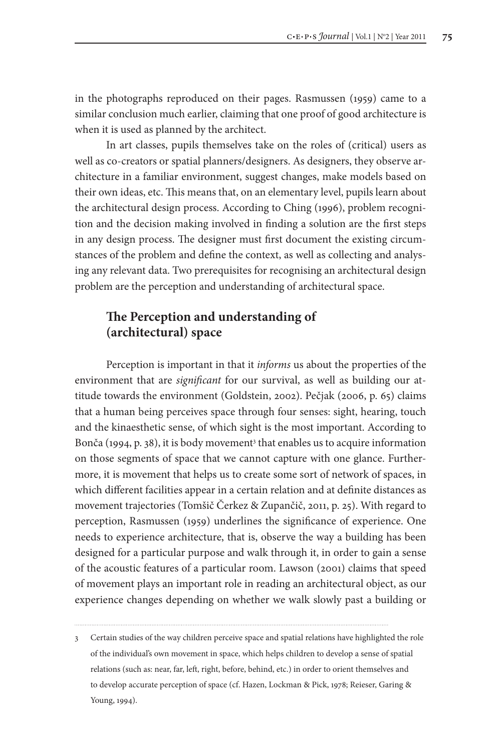in the photographs reproduced on their pages. Rasmussen (1959) came to a similar conclusion much earlier, claiming that one proof of good architecture is when it is used as planned by the architect.

In art classes, pupils themselves take on the roles of (critical) users as well as co-creators or spatial planners/designers. As designers, they observe architecture in a familiar environment, suggest changes, make models based on their own ideas, etc. This means that, on an elementary level, pupils learn about the architectural design process. According to Ching (1996), problem recognition and the decision making involved in finding a solution are the first steps in any design process. The designer must first document the existing circumstances of the problem and define the context, as well as collecting and analysing any relevant data. Two prerequisites for recognising an architectural design problem are the perception and understanding of architectural space.

## **The Perception and understanding of (architectural) space**

Perception is important in that it *informs* us about the properties of the environment that are *significant* for our survival, as well as building our attitude towards the environment (Goldstein, 2002). Pečjak (2006, p. 65) claims that a human being perceives space through four senses: sight, hearing, touch and the kinaesthetic sense, of which sight is the most important. According to Bonča (1994, p. 38), it is body movement<sup>3</sup> that enables us to acquire information on those segments of space that we cannot capture with one glance. Furthermore, it is movement that helps us to create some sort of network of spaces, in which different facilities appear in a certain relation and at definite distances as movement trajectories (Tomšič Čerkez & Zupančič, 2011, p. 25). With regard to perception, Rasmussen (1959) underlines the significance of experience. One needs to experience architecture, that is, observe the way a building has been designed for a particular purpose and walk through it, in order to gain a sense of the acoustic features of a particular room. Lawson (2001) claims that speed of movement plays an important role in reading an architectural object, as our experience changes depending on whether we walk slowly past a building or

<sup>3</sup> Certain studies of the way children perceive space and spatial relations have highlighted the role of the individual's own movement in space, which helps children to develop a sense of spatial relations (such as: near, far, left, right, before, behind, etc.) in order to orient themselves and to develop accurate perception of space (cf. Hazen, Lockman & Pick, 1978; Reieser, Garing & Young, 1994).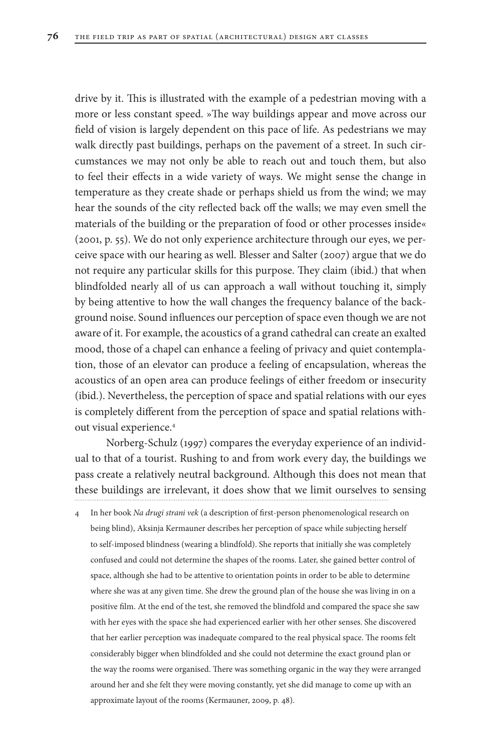drive by it. This is illustrated with the example of a pedestrian moving with a more or less constant speed. »The way buildings appear and move across our field of vision is largely dependent on this pace of life. As pedestrians we may walk directly past buildings, perhaps on the pavement of a street. In such circumstances we may not only be able to reach out and touch them, but also to feel their effects in a wide variety of ways. We might sense the change in temperature as they create shade or perhaps shield us from the wind; we may hear the sounds of the city reflected back off the walls; we may even smell the materials of the building or the preparation of food or other processes inside« (2001, p. 55). We do not only experience architecture through our eyes, we perceive space with our hearing as well. Blesser and Salter (2007) argue that we do not require any particular skills for this purpose. They claim (ibid.) that when blindfolded nearly all of us can approach a wall without touching it, simply by being attentive to how the wall changes the frequency balance of the background noise. Sound influences our perception of space even though we are not aware of it. For example, the acoustics of a grand cathedral can create an exalted mood, those of a chapel can enhance a feeling of privacy and quiet contemplation, those of an elevator can produce a feeling of encapsulation, whereas the acoustics of an open area can produce feelings of either freedom or insecurity (ibid.). Nevertheless, the perception of space and spatial relations with our eyes is completely different from the perception of space and spatial relations without visual experience.4

Norberg-Schulz (1997) compares the everyday experience of an individual to that of a tourist. Rushing to and from work every day, the buildings we pass create a relatively neutral background. Although this does not mean that these buildings are irrelevant, it does show that we limit ourselves to sensing

4 In her book *Na drugi strani vek* (a description of first-person phenomenological research on being blind), Aksinja Kermauner describes her perception of space while subjecting herself to self-imposed blindness (wearing a blindfold). She reports that initially she was completely confused and could not determine the shapes of the rooms. Later, she gained better control of space, although she had to be attentive to orientation points in order to be able to determine where she was at any given time. She drew the ground plan of the house she was living in on a positive film. At the end of the test, she removed the blindfold and compared the space she saw with her eyes with the space she had experienced earlier with her other senses. She discovered that her earlier perception was inadequate compared to the real physical space. The rooms felt considerably bigger when blindfolded and she could not determine the exact ground plan or the way the rooms were organised. There was something organic in the way they were arranged around her and she felt they were moving constantly, yet she did manage to come up with an approximate layout of the rooms (Kermauner, 2009, p. 48).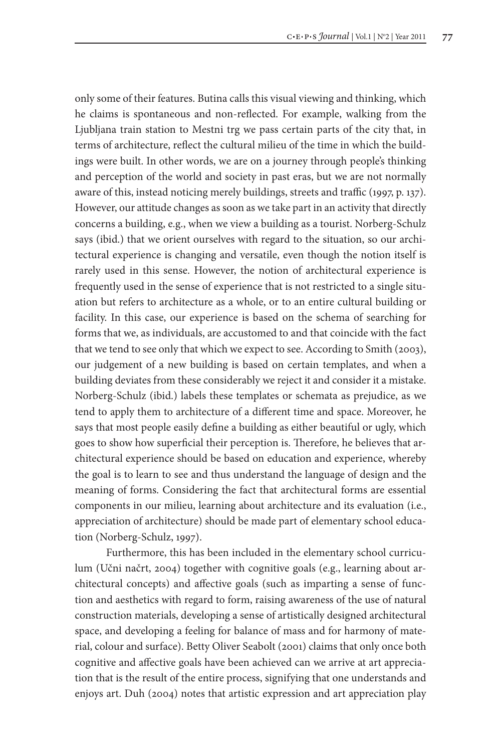only some of their features. Butina calls this visual viewing and thinking, which he claims is spontaneous and non-reflected. For example, walking from the Ljubljana train station to Mestni trg we pass certain parts of the city that, in terms of architecture, reflect the cultural milieu of the time in which the buildings were built. In other words, we are on a journey through people's thinking and perception of the world and society in past eras, but we are not normally aware of this, instead noticing merely buildings, streets and traffic (1997, p. 137). However, our attitude changes as soon as we take part in an activity that directly concerns a building, e.g., when we view a building as a tourist. Norberg-Schulz says (ibid.) that we orient ourselves with regard to the situation, so our architectural experience is changing and versatile, even though the notion itself is rarely used in this sense. However, the notion of architectural experience is frequently used in the sense of experience that is not restricted to a single situation but refers to architecture as a whole, or to an entire cultural building or facility. In this case, our experience is based on the schema of searching for forms that we, as individuals, are accustomed to and that coincide with the fact that we tend to see only that which we expect to see. According to Smith (2003), our judgement of a new building is based on certain templates, and when a building deviates from these considerably we reject it and consider it a mistake. Norberg-Schulz (ibid.) labels these templates or schemata as prejudice, as we tend to apply them to architecture of a different time and space. Moreover, he says that most people easily define a building as either beautiful or ugly, which goes to show how superficial their perception is. Therefore, he believes that architectural experience should be based on education and experience, whereby the goal is to learn to see and thus understand the language of design and the meaning of forms. Considering the fact that architectural forms are essential components in our milieu, learning about architecture and its evaluation (i.e., appreciation of architecture) should be made part of elementary school education (Norberg-Schulz, 1997).

Furthermore, this has been included in the elementary school curriculum (Učni načrt, 2004) together with cognitive goals (e.g., learning about architectural concepts) and affective goals (such as imparting a sense of function and aesthetics with regard to form, raising awareness of the use of natural construction materials, developing a sense of artistically designed architectural space, and developing a feeling for balance of mass and for harmony of material, colour and surface). Betty Oliver Seabolt (2001) claims that only once both cognitive and affective goals have been achieved can we arrive at art appreciation that is the result of the entire process, signifying that one understands and enjoys art. Duh (2004) notes that artistic expression and art appreciation play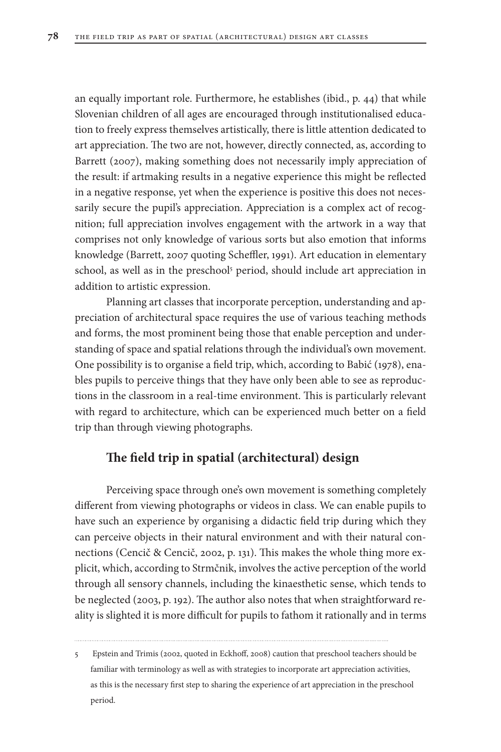an equally important role. Furthermore, he establishes (ibid., p. 44) that while Slovenian children of all ages are encouraged through institutionalised education to freely express themselves artistically, there is little attention dedicated to art appreciation. The two are not, however, directly connected, as, according to Barrett (2007), making something does not necessarily imply appreciation of the result: if artmaking results in a negative experience this might be reflected in a negative response, yet when the experience is positive this does not necessarily secure the pupil's appreciation. Appreciation is a complex act of recognition; full appreciation involves engagement with the artwork in a way that comprises not only knowledge of various sorts but also emotion that informs knowledge (Barrett, 2007 quoting Scheffler, 1991). Art education in elementary school, as well as in the preschool<sup>5</sup> period, should include art appreciation in addition to artistic expression.

Planning art classes that incorporate perception, understanding and appreciation of architectural space requires the use of various teaching methods and forms, the most prominent being those that enable perception and understanding of space and spatial relations through the individual's own movement. One possibility is to organise a field trip, which, according to Babić (1978), enables pupils to perceive things that they have only been able to see as reproductions in the classroom in a real-time environment. This is particularly relevant with regard to architecture, which can be experienced much better on a field trip than through viewing photographs.

### **The field trip in spatial (architectural) design**

Perceiving space through one's own movement is something completely different from viewing photographs or videos in class. We can enable pupils to have such an experience by organising a didactic field trip during which they can perceive objects in their natural environment and with their natural connections (Cencič & Cencič, 2002, p. 131). This makes the whole thing more explicit, which, according to Strmčnik, involves the active perception of the world through all sensory channels, including the kinaesthetic sense, which tends to be neglected (2003, p. 192). The author also notes that when straightforward reality is slighted it is more difficult for pupils to fathom it rationally and in terms

<sup>5</sup> Epstein and Trimis (2002, quoted in Eckhoff, 2008) caution that preschool teachers should be familiar with terminology as well as with strategies to incorporate art appreciation activities, as this is the necessary first step to sharing the experience of art appreciation in the preschool period.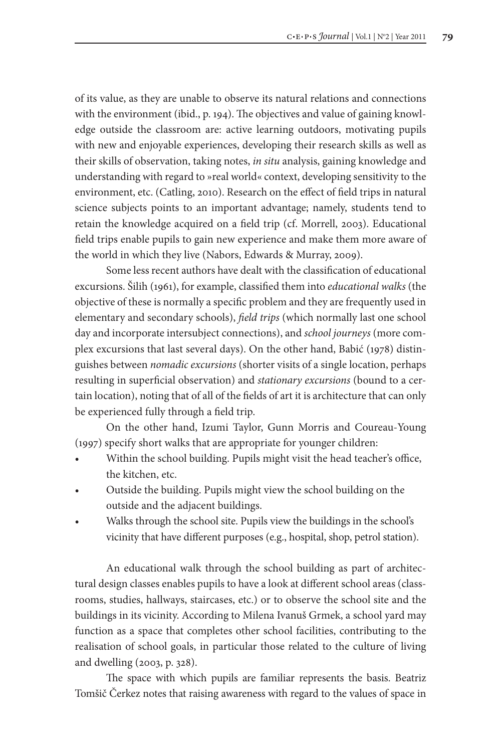of its value, as they are unable to observe its natural relations and connections with the environment (ibid., p. 194). The objectives and value of gaining knowledge outside the classroom are: active learning outdoors, motivating pupils with new and enjoyable experiences, developing their research skills as well as their skills of observation, taking notes, *in situ* analysis, gaining knowledge and understanding with regard to »real world« context, developing sensitivity to the environment, etc. (Catling, 2010). Research on the effect of field trips in natural science subjects points to an important advantage; namely, students tend to retain the knowledge acquired on a field trip (cf. Morrell, 2003). Educational field trips enable pupils to gain new experience and make them more aware of the world in which they live (Nabors, Edwards & Murray, 2009).

Some less recent authors have dealt with the classification of educational excursions. Šilih (1961), for example, classified them into *educational walks* (the objective of these is normally a specific problem and they are frequently used in elementary and secondary schools), *field trips* (which normally last one school day and incorporate intersubject connections), and *school journeys* (more complex excursions that last several days). On the other hand, Babić (1978) distinguishes between *nomadic excursions* (shorter visits of a single location, perhaps resulting in superficial observation) and *stationary excursions* (bound to a certain location), noting that of all of the fields of art it is architecture that can only be experienced fully through a field trip.

On the other hand, Izumi Taylor, Gunn Morris and Coureau-Young (1997) specify short walks that are appropriate for younger children:

- Within the school building. Pupils might visit the head teacher's office, the kitchen, etc.
- Outside the building. Pupils might view the school building on the outside and the adjacent buildings.
- Walks through the school site. Pupils view the buildings in the school's vicinity that have different purposes (e.g., hospital, shop, petrol station).

An educational walk through the school building as part of architectural design classes enables pupils to have a look at different school areas (classrooms, studies, hallways, staircases, etc.) or to observe the school site and the buildings in its vicinity. According to Milena Ivanuš Grmek, a school yard may function as a space that completes other school facilities, contributing to the realisation of school goals, in particular those related to the culture of living and dwelling (2003, p. 328).

The space with which pupils are familiar represents the basis. Beatriz Tomšič Čerkez notes that raising awareness with regard to the values of space in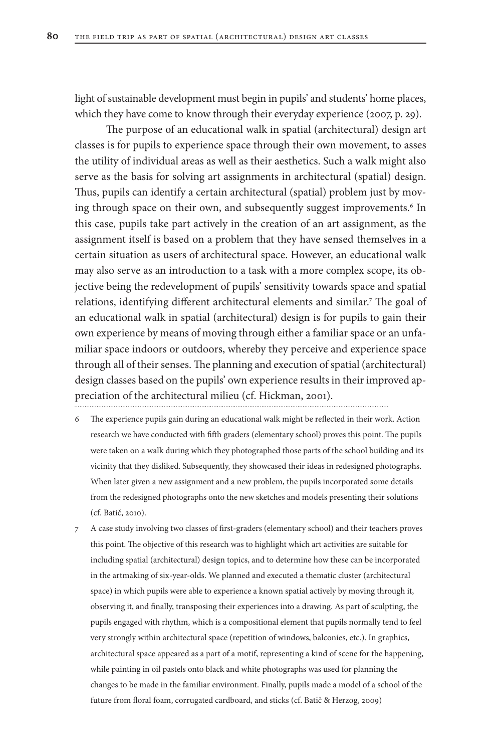light of sustainable development must begin in pupils' and students' home places, which they have come to know through their everyday experience (2007, p. 29).

The purpose of an educational walk in spatial (architectural) design art classes is for pupils to experience space through their own movement, to asses the utility of individual areas as well as their aesthetics. Such a walk might also serve as the basis for solving art assignments in architectural (spatial) design. Thus, pupils can identify a certain architectural (spatial) problem just by moving through space on their own, and subsequently suggest improvements.<sup>6</sup> In this case, pupils take part actively in the creation of an art assignment, as the assignment itself is based on a problem that they have sensed themselves in a certain situation as users of architectural space. However, an educational walk may also serve as an introduction to a task with a more complex scope, its objective being the redevelopment of pupils' sensitivity towards space and spatial relations, identifying different architectural elements and similar.<sup>7</sup> The goal of an educational walk in spatial (architectural) design is for pupils to gain their own experience by means of moving through either a familiar space or an unfamiliar space indoors or outdoors, whereby they perceive and experience space through all of their senses. The planning and execution of spatial (architectural) design classes based on the pupils' own experience results in their improved appreciation of the architectural milieu (cf. Hickman, 2001).

- 6 The experience pupils gain during an educational walk might be reflected in their work. Action research we have conducted with fifth graders (elementary school) proves this point. The pupils were taken on a walk during which they photographed those parts of the school building and its vicinity that they disliked. Subsequently, they showcased their ideas in redesigned photographs. When later given a new assignment and a new problem, the pupils incorporated some details from the redesigned photographs onto the new sketches and models presenting their solutions (cf. Batič, 2010).
- 7 A case study involving two classes of first-graders (elementary school) and their teachers proves this point. The objective of this research was to highlight which art activities are suitable for including spatial (architectural) design topics, and to determine how these can be incorporated in the artmaking of six-year-olds. We planned and executed a thematic cluster (architectural space) in which pupils were able to experience a known spatial actively by moving through it, observing it, and finally, transposing their experiences into a drawing. As part of sculpting, the pupils engaged with rhythm, which is a compositional element that pupils normally tend to feel very strongly within architectural space (repetition of windows, balconies, etc.). In graphics, architectural space appeared as a part of a motif, representing a kind of scene for the happening, while painting in oil pastels onto black and white photographs was used for planning the changes to be made in the familiar environment. Finally, pupils made a model of a school of the future from floral foam, corrugated cardboard, and sticks (cf. Batič & Herzog, 2009)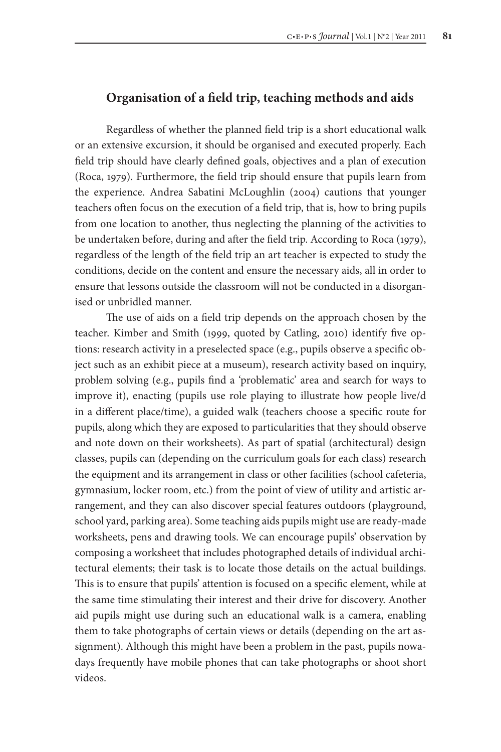### **Organisation of a field trip, teaching methods and aids**

Regardless of whether the planned field trip is a short educational walk or an extensive excursion, it should be organised and executed properly. Each field trip should have clearly defined goals, objectives and a plan of execution (Roca, 1979). Furthermore, the field trip should ensure that pupils learn from the experience. Andrea Sabatini McLoughlin (2004) cautions that younger teachers often focus on the execution of a field trip, that is, how to bring pupils from one location to another, thus neglecting the planning of the activities to be undertaken before, during and after the field trip. According to Roca (1979), regardless of the length of the field trip an art teacher is expected to study the conditions, decide on the content and ensure the necessary aids, all in order to ensure that lessons outside the classroom will not be conducted in a disorganised or unbridled manner.

The use of aids on a field trip depends on the approach chosen by the teacher. Kimber and Smith (1999, quoted by Catling, 2010) identify five options: research activity in a preselected space (e.g., pupils observe a specific object such as an exhibit piece at a museum), research activity based on inquiry, problem solving (e.g., pupils find a 'problematic' area and search for ways to improve it), enacting (pupils use role playing to illustrate how people live/d in a different place/time), a guided walk (teachers choose a specific route for pupils, along which they are exposed to particularities that they should observe and note down on their worksheets). As part of spatial (architectural) design classes, pupils can (depending on the curriculum goals for each class) research the equipment and its arrangement in class or other facilities (school cafeteria, gymnasium, locker room, etc.) from the point of view of utility and artistic arrangement, and they can also discover special features outdoors (playground, school yard, parking area). Some teaching aids pupils might use are ready-made worksheets, pens and drawing tools. We can encourage pupils' observation by composing a worksheet that includes photographed details of individual architectural elements; their task is to locate those details on the actual buildings. This is to ensure that pupils' attention is focused on a specific element, while at the same time stimulating their interest and their drive for discovery. Another aid pupils might use during such an educational walk is a camera, enabling them to take photographs of certain views or details (depending on the art assignment). Although this might have been a problem in the past, pupils nowadays frequently have mobile phones that can take photographs or shoot short videos.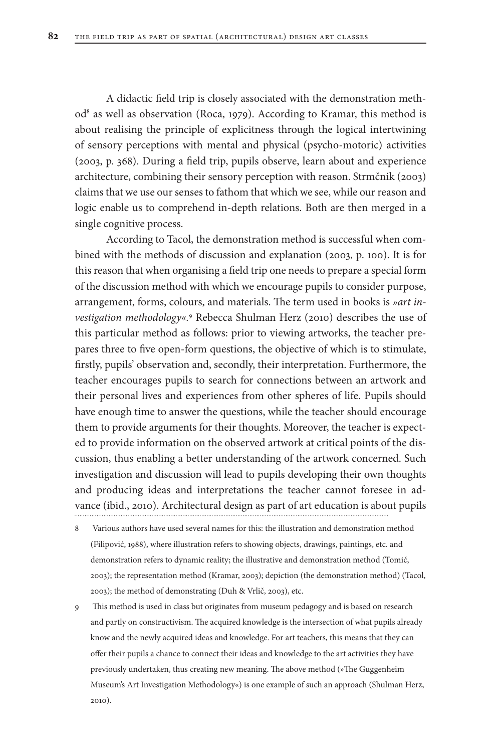A didactic field trip is closely associated with the demonstration method<sup>8</sup> as well as observation (Roca, 1979). According to Kramar, this method is about realising the principle of explicitness through the logical intertwining of sensory perceptions with mental and physical (psycho-motoric) activities (2003, p. 368). During a field trip, pupils observe, learn about and experience architecture, combining their sensory perception with reason. Strmčnik (2003) claims that we use our senses to fathom that which we see, while our reason and logic enable us to comprehend in-depth relations. Both are then merged in a single cognitive process.

According to Tacol, the demonstration method is successful when combined with the methods of discussion and explanation (2003, p. 100). It is for this reason that when organising a field trip one needs to prepare a special form of the discussion method with which we encourage pupils to consider purpose, arrangement, forms, colours, and materials. The term used in books is *»art investigation methodology«.*<sup>9</sup> Rebecca Shulman Herz (2010) describes the use of this particular method as follows: prior to viewing artworks, the teacher prepares three to five open-form questions, the objective of which is to stimulate, firstly, pupils' observation and, secondly, their interpretation. Furthermore, the teacher encourages pupils to search for connections between an artwork and their personal lives and experiences from other spheres of life. Pupils should have enough time to answer the questions, while the teacher should encourage them to provide arguments for their thoughts. Moreover, the teacher is expected to provide information on the observed artwork at critical points of the discussion, thus enabling a better understanding of the artwork concerned. Such investigation and discussion will lead to pupils developing their own thoughts and producing ideas and interpretations the teacher cannot foresee in advance (ibid., 2010). Architectural design as part of art education is about pupils

- Various authors have used several names for this: the illustration and demonstration method (Filipović, 1988), where illustration refers to showing objects, drawings, paintings, etc. and demonstration refers to dynamic reality; the illustrative and demonstration method (Tomić, 2003); the representation method (Kramar, 2003); depiction (the demonstration method) (Tacol, 2003); the method of demonstrating (Duh & Vrlič, 2003), etc.
- 9 This method is used in class but originates from museum pedagogy and is based on research and partly on constructivism. The acquired knowledge is the intersection of what pupils already know and the newly acquired ideas and knowledge. For art teachers, this means that they can offer their pupils a chance to connect their ideas and knowledge to the art activities they have previously undertaken, thus creating new meaning. The above method (»The Guggenheim Museum's Art Investigation Methodology«) is one example of such an approach (Shulman Herz, 2010).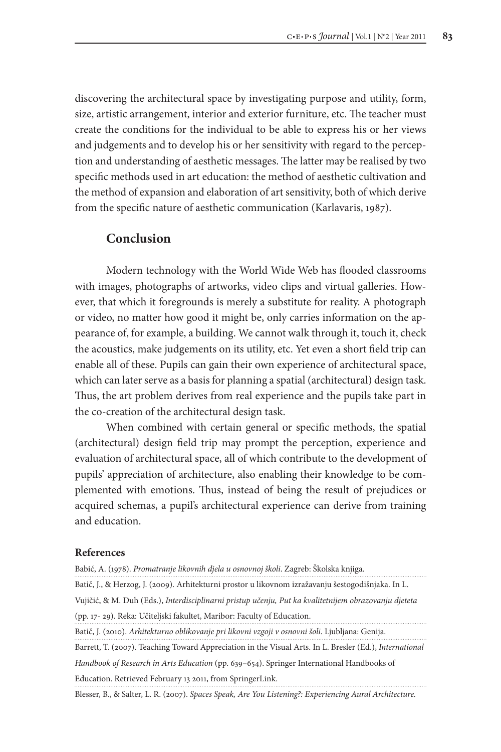discovering the architectural space by investigating purpose and utility, form, size, artistic arrangement, interior and exterior furniture, etc. The teacher must create the conditions for the individual to be able to express his or her views and judgements and to develop his or her sensitivity with regard to the perception and understanding of aesthetic messages. The latter may be realised by two specific methods used in art education: the method of aesthetic cultivation and the method of expansion and elaboration of art sensitivity, both of which derive from the specific nature of aesthetic communication (Karlavaris, 1987).

### **Conclusion**

Modern technology with the World Wide Web has flooded classrooms with images, photographs of artworks, video clips and virtual galleries. However, that which it foregrounds is merely a substitute for reality. A photograph or video, no matter how good it might be, only carries information on the appearance of, for example, a building. We cannot walk through it, touch it, check the acoustics, make judgements on its utility, etc. Yet even a short field trip can enable all of these. Pupils can gain their own experience of architectural space, which can later serve as a basis for planning a spatial (architectural) design task. Thus, the art problem derives from real experience and the pupils take part in the co-creation of the architectural design task.

When combined with certain general or specific methods, the spatial (architectural) design field trip may prompt the perception, experience and evaluation of architectural space, all of which contribute to the development of pupils' appreciation of architecture, also enabling their knowledge to be complemented with emotions. Thus, instead of being the result of prejudices or acquired schemas, a pupil's architectural experience can derive from training and education.

#### **References**

Babić, A. (1978). *Promatranje likovnih djela u osnovnoj školi*. Zagreb: Školska knjiga.

Batič, J., & Herzog, J. (2009). Arhitekturni prostor u likovnom izražavanju šestogodišnjaka. In L. Vujičić, & M. Duh (Eds.), *Interdisciplinarni pristup učenju, Put ka kvalitetnijem obrazovanju djeteta* 

(pp. 17- 29). Reka: Učiteljski fakultet, Maribor: Faculty of Education.

Batič, J. (2010). *Arhitekturno oblikovanje pri likovni vzgoji v osnovni šoli*. Ljubljana: Genija.

Barrett, T. (2007). Teaching Toward Appreciation in the Visual Arts. In L. Bresler (Ed.), *International Handbook of Research in Arts Education* (pp. 639–654). Springer International Handbooks of Education. Retrieved February 13 2011, from SpringerLink.

Blesser, B., & Salter, L. R. (2007). *Spaces Speak, Are You Listening?: Experiencing Aural Architecture.*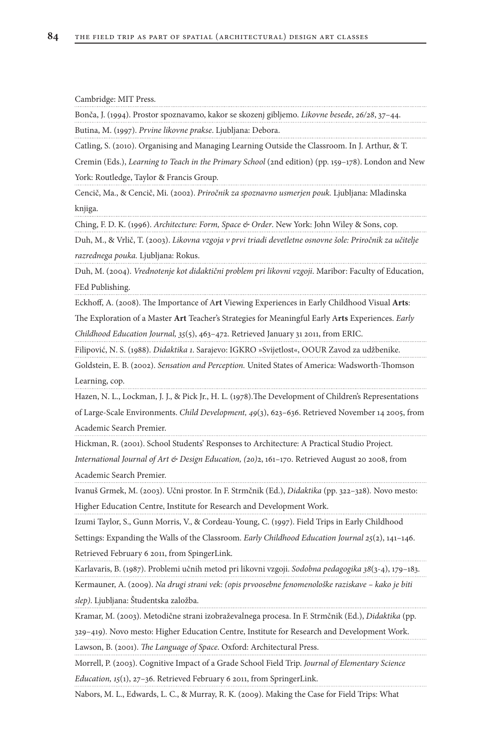Cambridge: MIT Press.

Bonča, J. (1994). Prostor spoznavamo, kakor se skozenj gibljemo. *Likovne besede*, *26/28*, 37–44.

Butina, M. (1997). *Prvine likovne prakse*. Ljubljana: Debora.

Catling, S. (2010). Organising and Managing Learning Outside the Classroom. In J. Arthur, & T. Cremin (Eds.), *Learning to Teach in the Primary School* (2nd edition) (pp. 159–178). London and New York: Routledge, Taylor & Francis Group.

Cencič, Ma., & Cencič, Mi. (2002). *Priročnik za spoznavno usmerjen pouk.* Ljubljana: Mladinska knjiga.

Ching, F. D. K. (1996). *Architecture: Form, Space & Order*. New York: John Wiley & Sons, cop.

Duh, M., & Vrlič, T. (2003). *Likovna vzgoja v prvi triadi devetletne osnovne šole: Priročnik za učitelje razrednega pouka.* Ljubljana: Rokus.

Duh, M. (2004). *Vrednotenje kot didaktični problem pri likovni vzgoji*. Maribor: Faculty of Education, FEd Publishing.

Eckhoff, A. (2008). The Importance of A**rt** Viewing Experiences in Early Childhood Visual **Arts**:

The Exploration of a Master **Art** Teacher's Strategies for Meaningful Early A**rts** Experiences. *Early* 

*Childhood Education Journal, 35*(5), 463–472. Retrieved January 31 2011, from ERIC.

Filipović, N. S. (1988). *Didaktika 1*. Sarajevo: IGKRO »Svijetlost«, OOUR Zavod za udžbenike.

Goldstein, E. B. (2002). *Sensation and Perception.* United States of America: Wadsworth-Thomson Learning, cop.

Hazen, N. L., Lockman, J. J., & Pick Jr., H. L. (1978).The Development of Children's Representations

of Large-Scale Environments. *Child Development, 49*(3), 623–636. Retrieved November 14 2005, from Academic Search Premier.

Hickman, R. (2001). School Students' Responses to Architecture: A Practical Studio Project.

*International Journal of Art & Design Education, (20)*2, 161–170. Retrieved August 20 2008, from Academic Search Premier.

Ivanuš Grmek, M. (2003). Učni prostor. In F. Strmčnik (Ed.), *Didaktika* (pp. 322–328)*.* Novo mesto: Higher Education Centre, Institute for Research and Development Work.

Izumi Taylor, S., Gunn Morris, V., & Cordeau-Young, C. (1997). Field Trips in Early Childhood Settings: Expanding the Walls of the Classroom. *Early Childhood Education Journal 25*(2), 141–146. Retrieved February 6 2011, from SpingerLink.

Karlavaris, B. (1987). Problemi učnih metod pri likovni vzgoji. *Sodobna pedagogika 38*(3-4), 179–183.

Kermauner, A. (2009). *Na drugi strani vek: (opis prvoosebne fenomenološke raziskave – kako je biti slep)*. Ljubljana: Študentska založba.

Kramar, M. (2003). Metodične strani izobraževalnega procesa. In F. Strmčnik (Ed.), *Didaktika* (pp.

329–419)*.* Novo mesto: Higher Education Centre, Institute for Research and Development Work. Lawson, B. (2001). *The Language of Space*. Oxford: Architectural Press.

Morrell, P. (2003). Cognitive Impact of a Grade School Field Trip. *Journal of Elementary Science Education, 15*(1), 27–36. Retrieved February 6 2011, from SpringerLink.

Nabors, M. L., Edwards, L. C., & Murray, R. K. (2009). Making the Case for Field Trips: What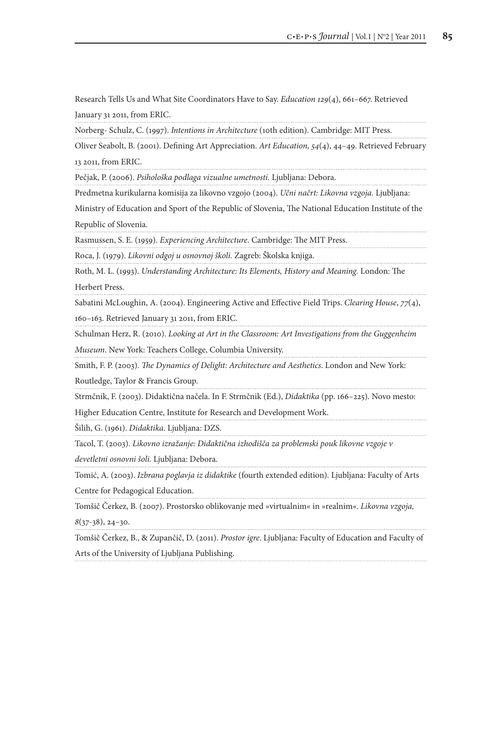Research Tells Us and What Site Coordinators Have to Say. *Education 129*(4), 661–667. Retrieved

January 31 2011, from ERIC.

Norberg- Schulz, C. (1997). *Intentions in Architecture* (10th edition). Cambridge: MIT Press.

Oliver Seabolt, B. (2001). Defining Art Appreciation. *Art Education, 54*(4), 44–49. Retrieved February 13 2011, from ERIC.

Pečjak, P. (2006). *Psihološka podlaga vizualne umetnosti.* Ljubljana: Debora.

Predmetna kurikularna komisija za likovno vzgojo (2004). *Učni načrt: Likovna vzgoja.* Ljubljana:

Ministry of Education and Sport of the Republic of Slovenia, The National Education Institute of the Republic of Slovenia.

Rasmussen, S. E. (1959). *Experiencing Architecture*. Cambridge: The MIT Press.

Roca, J. (1979). *Likovni odgoj u osnovnoj školi.* Zagreb: Školska knjiga.

Roth, M. L. (1993). *Understanding Architecture: Its Elements, History and Meaning.* London: The Herbert Press.

Sabatini McLoughin, A. (2004). Engineering Active and Effective Field Trips. *Clearing House*, *77*(4),

160–163. Retrieved January 31 2011, from ERIC.

Schulman Herz, R. (2010). *Looking at Art in the Classroom: Art Investigations from the Guggenheim* 

*Museum*. New York: Teachers College, Columbia University.

Smith, F. P. (2003). *The Dynamics of Delight: Architecture and Aesthetics*. London and New York:

Routledge, Taylor & Francis Group.

Strmčnik, F. (2003). Didaktična načela. In F. Strmčnik (Ed.), *Didaktika* (pp. 166–225)*.* Novo mesto:

Higher Education Centre, Institute for Research and Development Work. 

Šilih, G. (1961). *Didaktika*. Ljubljana: DZS.

Tacol, T. (2003). *Likovno izražanje: Didaktična izhodišča za problemski pouk likovne vzgoje v* 

*devetletni osnovni šoli.* Ljubljana: Debora.

Tomić, A. (2003). *Izbrana poglavja iz didaktike* (fourth extended edition)*.* Ljubljana: Faculty of Arts

Centre for Pedagogical Education.

Tomšič Čerkez, B. (2007). Prostorsko oblikovanje med »virtualnim« in »realnim«. *Likovna vzgoja,* 

*8*(37-38), 24–30.

Tomšič Čerkez, B., & Zupančič, D. (2011). *Prostor igre*. Ljubljana: Faculty of Education and Faculty of Arts of the University of Ljubljana Publishing.